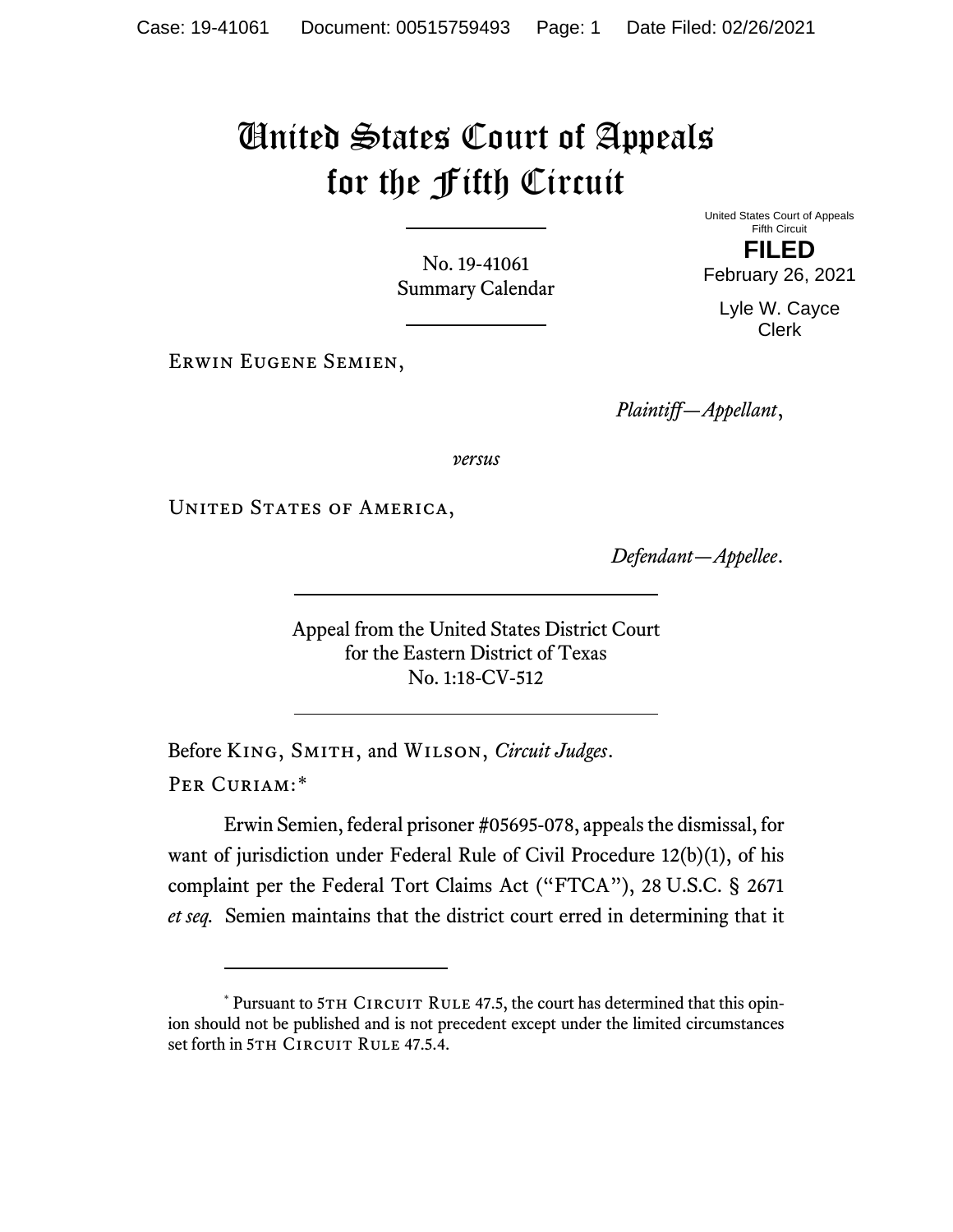## United States Court of Appeals for the Fifth Circuit

No. 19-41061 Summary Calendar United States Court of Appeals Fifth Circuit **FILED**

February 26, 2021

Lyle W. Cayce Clerk

Erwin Eugene Semien,

*Plaintiff—Appellant*,

*versus*

UNITED STATES OF AMERICA,

*Defendant—Appellee*.

Appeal from the United States District Court for the Eastern District of Texas No. 1:18-CV-512

Before King, Smith, and Wilson, *Circuit Judges*. Per Curiam:[\\*](#page-0-0)

Erwin Semien, federal prisoner #05695-078, appeals the dismissal, for want of jurisdiction under Federal Rule of Civil Procedure 12(b)(1), of his complaint per the Federal Tort Claims Act ("FTCA"), 28 U.S.C. § 2671 *et seq.* Semien maintains that the district court erred in determining that it

<span id="page-0-0"></span> $*$  Pursuant to 5TH CIRCUIT RULE 47.5, the court has determined that this opinion should not be published and is not precedent except under the limited circumstances set forth in 5TH CIRCUIT RULE 47.5.4.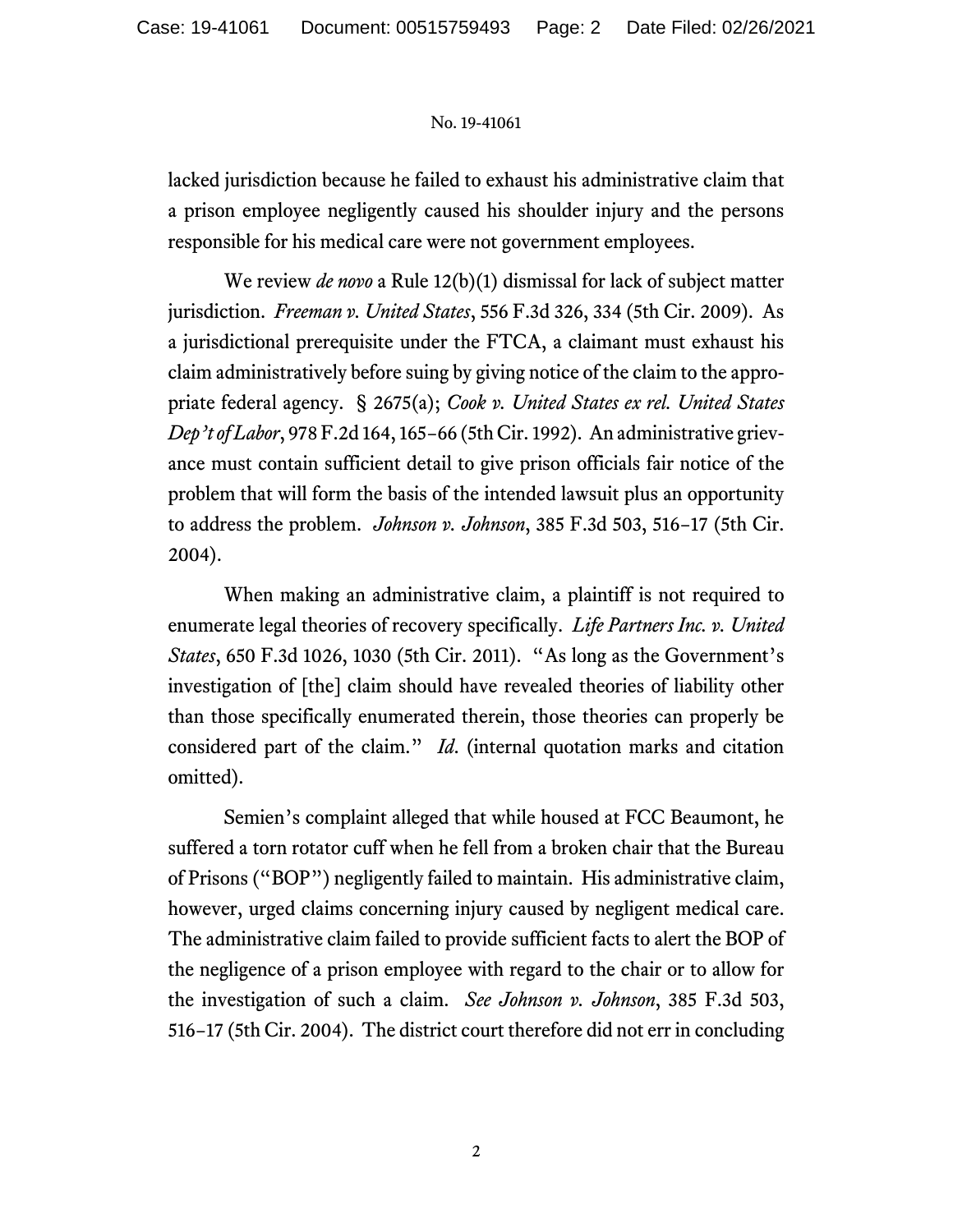## No. 19-41061

lacked jurisdiction because he failed to exhaust his administrative claim that a prison employee negligently caused his shoulder injury and the persons responsible for his medical care were not government employees.

We review *de novo* a Rule 12(b)(1) dismissal for lack of subject matter jurisdiction. *Freeman v. United States*, 556 F.3d 326, 334 (5th Cir. 2009). As a jurisdictional prerequisite under the FTCA, a claimant must exhaust his claim administratively before suing by giving notice of the claim to the appropriate federal agency. § 2675(a); *Cook v. United States ex rel. United States Dep't of Labor*, 978 F.2d 164, 165−66 (5th Cir. 1992). An administrative grievance must contain sufficient detail to give prison officials fair notice of the problem that will form the basis of the intended lawsuit plus an opportunity to address the problem. *Johnson v. Johnson*, 385 F.3d 503, 516−17 (5th Cir. 2004).

When making an administrative claim, a plaintiff is not required to enumerate legal theories of recovery specifically. *Life Partners Inc. v. United States*, 650 F.3d 1026, 1030 (5th Cir. 2011). "As long as the Government's investigation of [the] claim should have revealed theories of liability other than those specifically enumerated therein, those theories can properly be considered part of the claim." *Id*. (internal quotation marks and citation omitted).

Semien's complaint alleged that while housed at FCC Beaumont, he suffered a torn rotator cuff when he fell from a broken chair that the Bureau of Prisons ("BOP") negligently failed to maintain. His administrative claim, however, urged claims concerning injury caused by negligent medical care. The administrative claim failed to provide sufficient facts to alert the BOP of the negligence of a prison employee with regard to the chair or to allow for the investigation of such a claim. *See Johnson v. Johnson*, 385 F.3d 503, 516−17 (5th Cir. 2004). The district court therefore did not err in concluding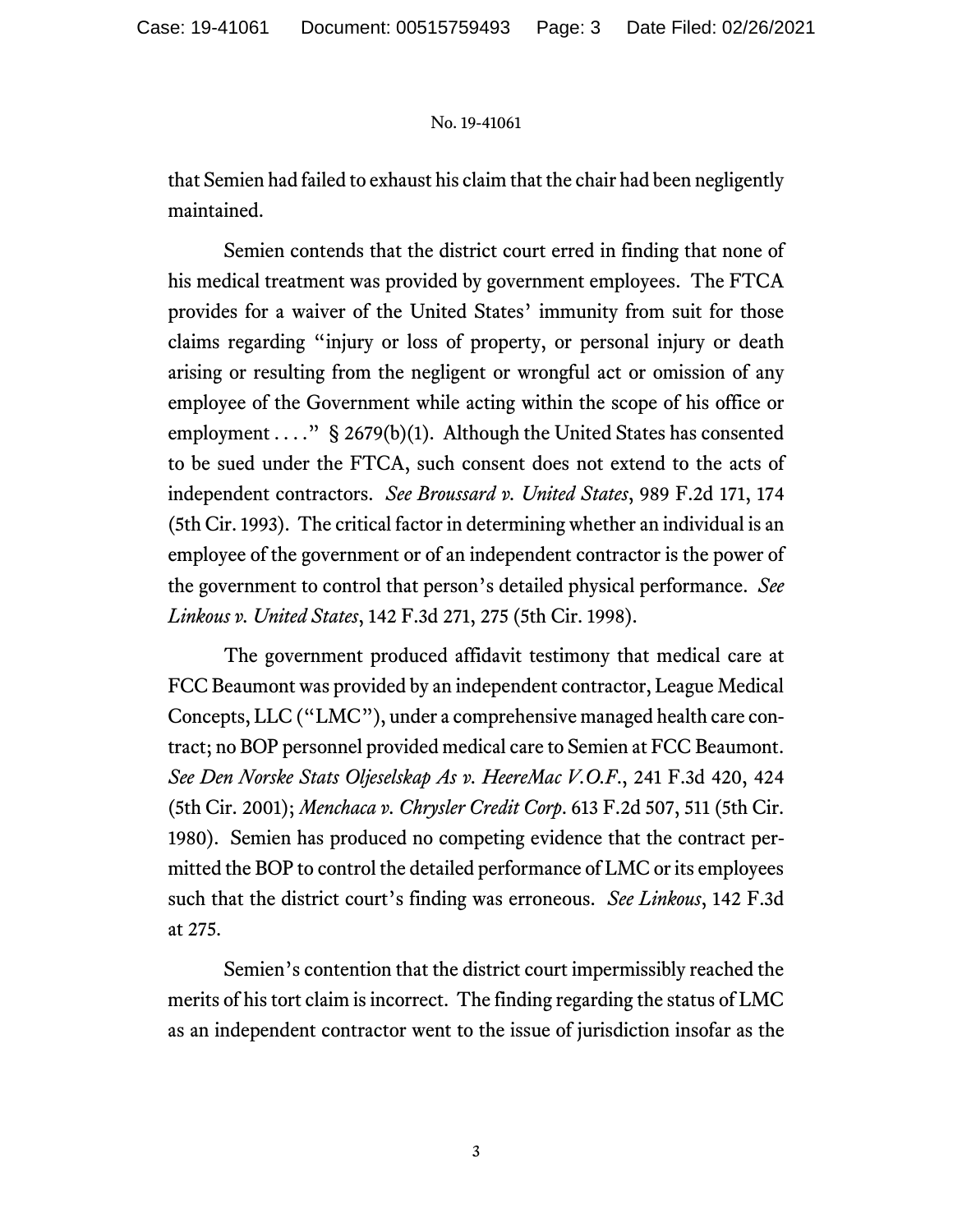## No. 19-41061

that Semien had failed to exhaust his claim that the chair had been negligently maintained.

Semien contends that the district court erred in finding that none of his medical treatment was provided by government employees. The FTCA provides for a waiver of the United States' immunity from suit for those claims regarding "injury or loss of property, or personal injury or death arising or resulting from the negligent or wrongful act or omission of any employee of the Government while acting within the scope of his office or employment  $\dots$ ." § 2679(b)(1). Although the United States has consented to be sued under the FTCA, such consent does not extend to the acts of independent contractors. *See Broussard v. United States*, 989 F.2d 171, 174 (5th Cir. 1993). The critical factor in determining whether an individual is an employee of the government or of an independent contractor is the power of the government to control that person's detailed physical performance. *See Linkous v. United States*, 142 F.3d 271, 275 (5th Cir. 1998).

The government produced affidavit testimony that medical care at FCC Beaumont was provided by an independent contractor, League Medical Concepts, LLC ("LMC"), under a comprehensive managed health care contract; no BOP personnel provided medical care to Semien at FCC Beaumont. *See Den Norske Stats Oljeselskap As v. HeereMac V.O.F*., 241 F.3d 420, 424 (5th Cir. 2001); *Menchaca v. Chrysler Credit Corp*. 613 F.2d 507, 511 (5th Cir. 1980). Semien has produced no competing evidence that the contract permitted the BOP to control the detailed performance of LMC or its employees such that the district court's finding was erroneous. *See Linkous*, 142 F.3d at 275.

Semien's contention that the district court impermissibly reached the merits of his tort claim is incorrect. The finding regarding the status of LMC as an independent contractor went to the issue of jurisdiction insofar as the